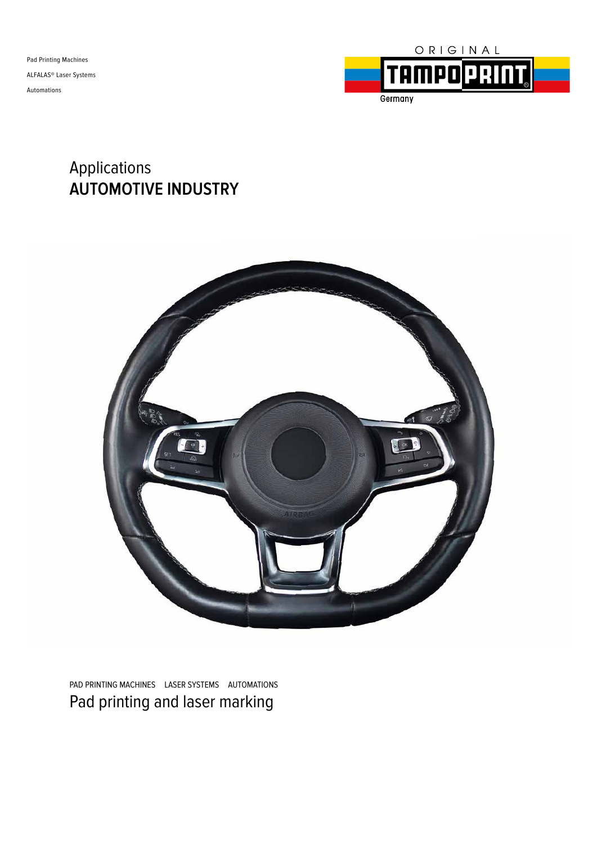Pad Printing Machines ALFALAS® Laser Systems Automations



### Applications **AUTOMOTIVE INDUSTRY**



PAD PRINTING MACHINES LASER SYSTEMS AUTOMATIONS Pad printing and laser marking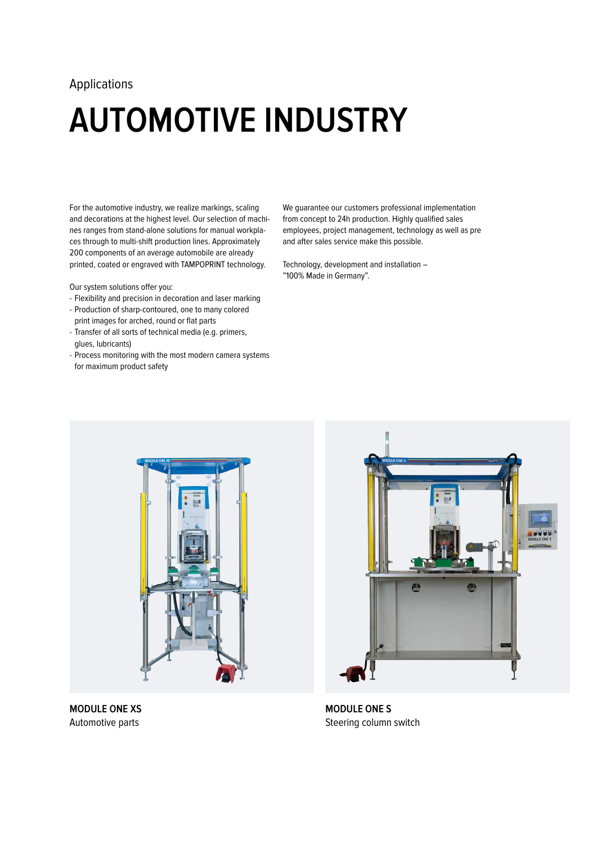## **AUTOMOTIVE INDUSTRY**

For the automotive industry, we realize markings, scaling and decorations at the highest level. Our selection of machines ranges from stand-alone solutions for manual workplaces through to multi-shift production lines. Approximately 200 components of an average automobile are already printed, coated or engraved with TAMPOPRINT technology.

Our system solutions offer you:

- Flexibility and precision in decoration and laser marking
- Production of sharp-contoured, one to many colored print images for arched, round or flat parts
- Transfer of all sorts of technical media (e.g. primers, glues, lubricants)
- Process monitoring with the most modern camera systems for maximum product safety

We guarantee our customers professional implementation from concept to 24h production. Highly qualified sales employees, project management, technology as well as pre and after sales service make this possible.

Technology, development and installation – "100% Made in Germany".



**MODULE ONE XS**  Automotive parts



**MODULE ONE S**  Steering column switch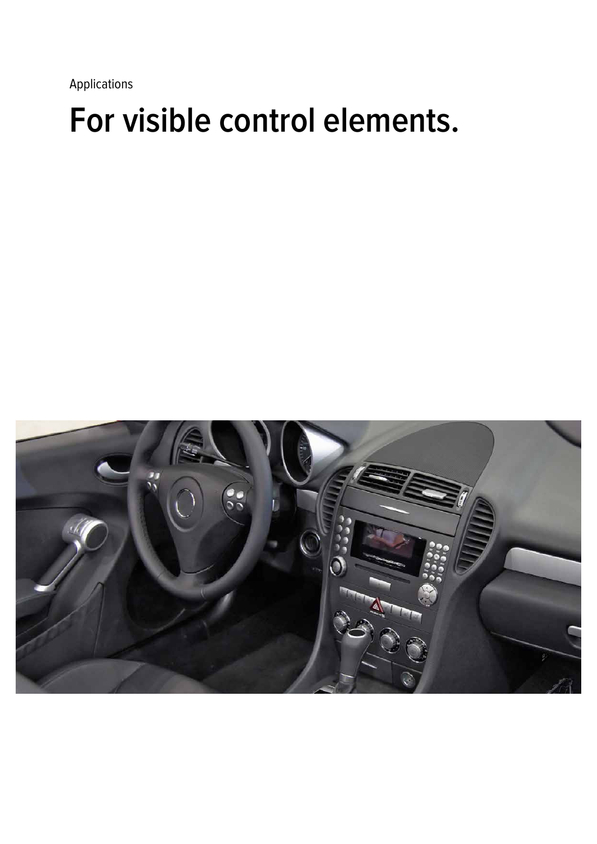### **For visible control elements.**

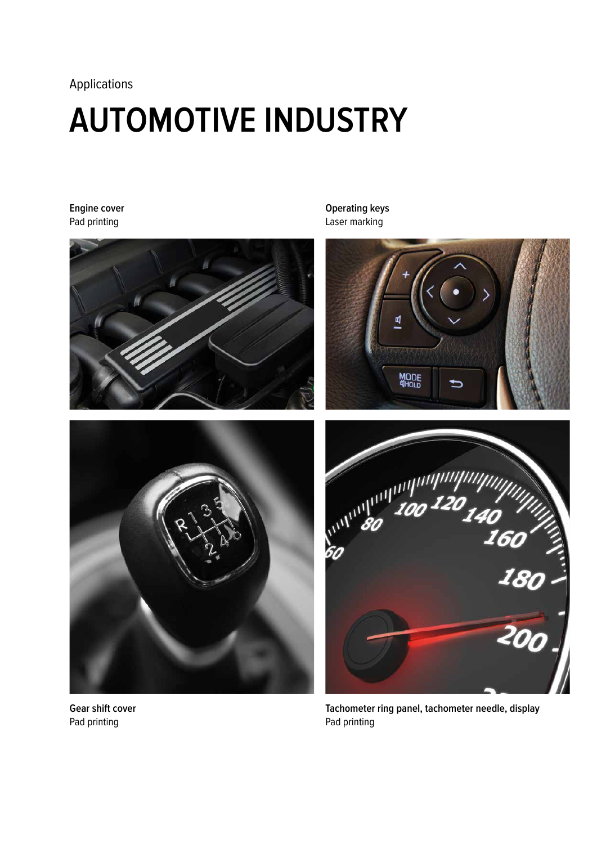### **AUTOMOTIVE INDUSTRY**

#### **Engine cover** Pad printing





**Gear shift cover** Pad printing

**Operating keys** Laser marking





**Tachometer ring panel, tachometer needle, display** Pad printing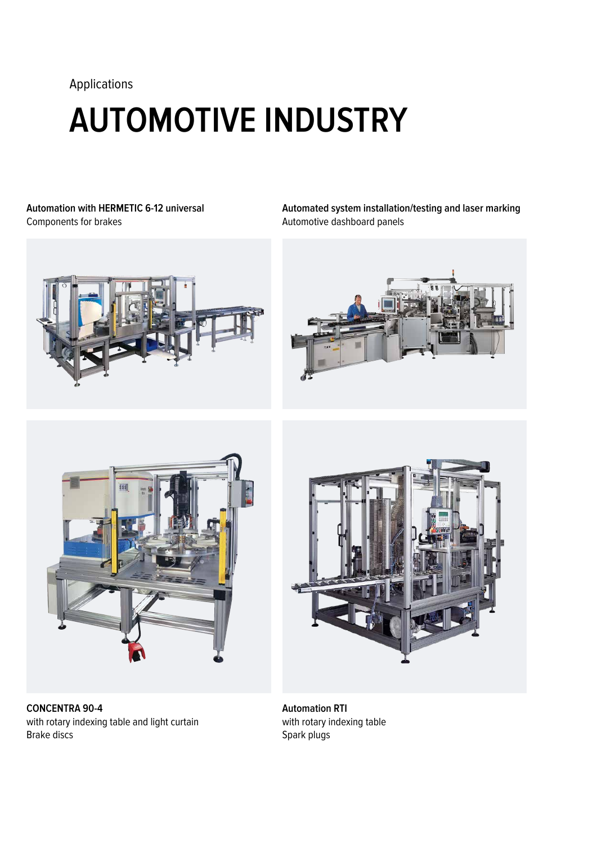# **AUTOMOTIVE INDUSTRY**

**Automation with HERMETIC 6-12 universal** Components for brakes

**Automated system installation/testing and laser marking**  Automotive dashboard panels







**CONCENTRA 90-4**  with rotary indexing table and light curtain Brake discs



**Automation RTI**  with rotary indexing table Spark plugs